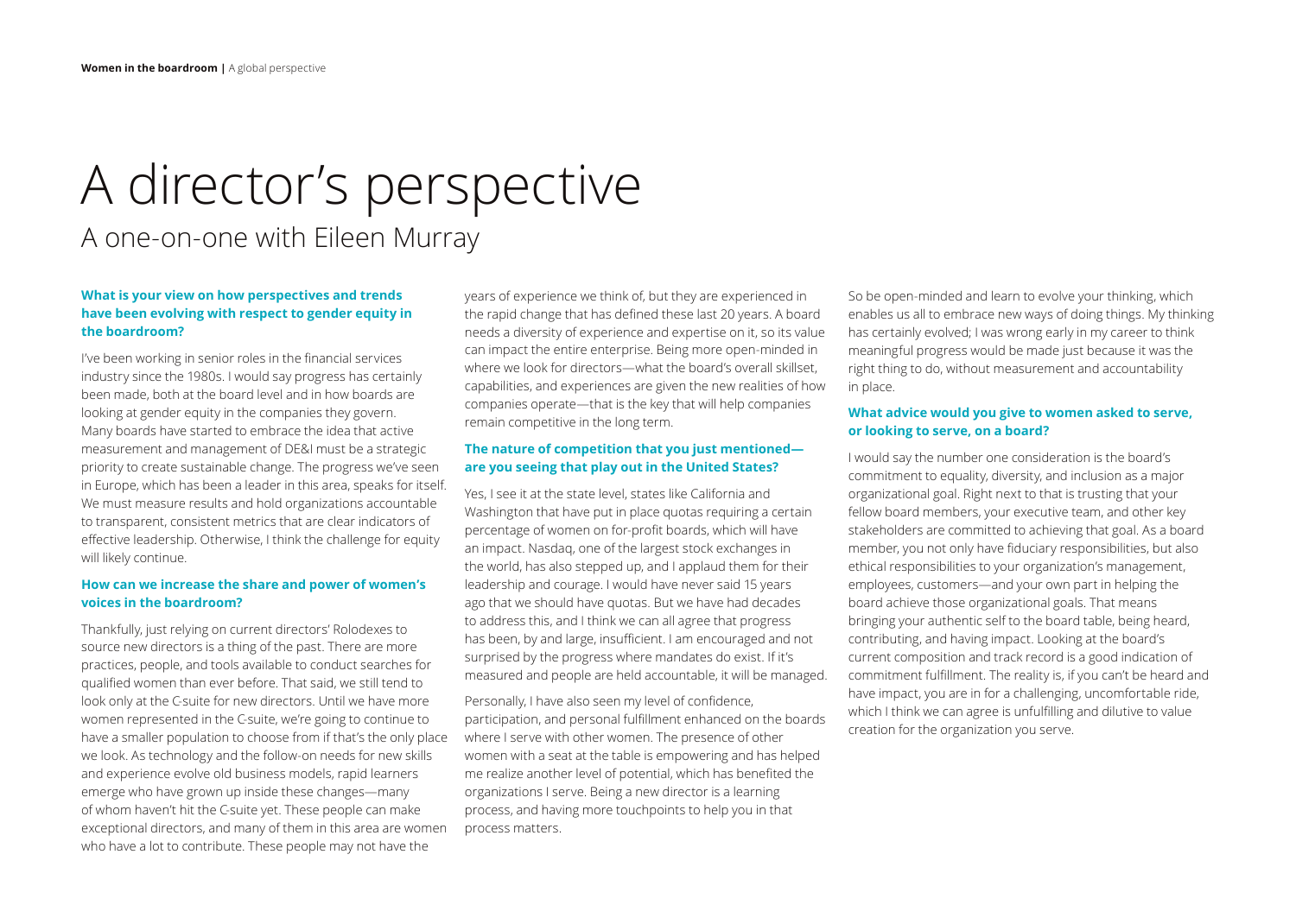# A director's perspective A one-on-one with Eileen Murray

## **What is your view on how perspectives and trends have been evolving with respect to gender equity in the boardroom?**

I've been working in senior roles in the financial services industry since the 1980s. I would say progress has certainly been made, both at the board level and in how boards are looking at gender equity in the companies they govern. Many boards have started to embrace the idea that active measurement and management of DE&I must be a strategic priority to create sustainable change. The progress we've seen in Europe, which has been a leader in this area, speaks for itself. We must measure results and hold organizations accountable to transparent, consistent metrics that are clear indicators of effective leadership. Otherwise, I think the challenge for equity will likely continue.

### **How can we increase the share and power of women's voices in the boardroom?**

Thankfully, just relying on current directors' Rolodexes to source new directors is a thing of the past. There are more practices, people, and tools available to conduct searches for qualified women than ever before. That said, we still tend to look only at the C-suite for new directors. Until we have more women represented in the C-suite, we're going to continue to have a smaller population to choose from if that's the only place we look. As technology and the follow-on needs for new skills and experience evolve old business models, rapid learners emerge who have grown up inside these changes—many of whom haven't hit the C-suite yet. These people can make exceptional directors, and many of them in this area are women who have a lot to contribute. These people may not have the

years of experience we think of, but they are experienced in the rapid change that has defined these last 20 years. A board needs a diversity of experience and expertise on it, so its value can impact the entire enterprise. Being more open-minded in where we look for directors—what the board's overall skillset, capabilities, and experiences are given the new realities of how companies operate—that is the key that will help companies remain competitive in the long term.

### **The nature of competition that you just mentioned are you seeing that play out in the United States?**

Yes, I see it at the state level, states like California and Washington that have put in place quotas requiring a certain percentage of women on for-profit boards, which will have an impact. Nasdaq, one of the largest stock exchanges in the world, has also stepped up, and I applaud them for their leadership and courage. I would have never said 15 years ago that we should have quotas. But we have had decades to address this, and I think we can all agree that progress has been, by and large, insufficient. I am encouraged and not surprised by the progress where mandates do exist. If it's measured and people are held accountable, it will be managed.

Personally, I have also seen my level of confidence, participation, and personal fulfillment enhanced on the boards where I serve with other women. The presence of other women with a seat at the table is empowering and has helped me realize another level of potential, which has benefited the organizations I serve. Being a new director is a learning process, and having more touchpoints to help you in that process matters.

So be open-minded and learn to evolve your thinking, which enables us all to embrace new ways of doing things. My thinking has certainly evolved; I was wrong early in my career to think meaningful progress would be made just because it was the right thing to do, without measurement and accountability in place.

#### **What advice would you give to women asked to serve, or looking to serve, on a board?**

I would say the number one consideration is the board's commitment to equality, diversity, and inclusion as a major organizational goal. Right next to that is trusting that your fellow board members, your executive team, and other key stakeholders are committed to achieving that goal. As a board member, you not only have fiduciary responsibilities, but also ethical responsibilities to your organization's management, employees, customers—and your own part in helping the board achieve those organizational goals. That means bringing your authentic self to the board table, being heard, contributing, and having impact. Looking at the board's current composition and track record is a good indication of commitment fulfillment. The reality is, if you can't be heard and have impact, you are in for a challenging, uncomfortable ride, which I think we can agree is unfulfilling and dilutive to value creation for the organization you serve.